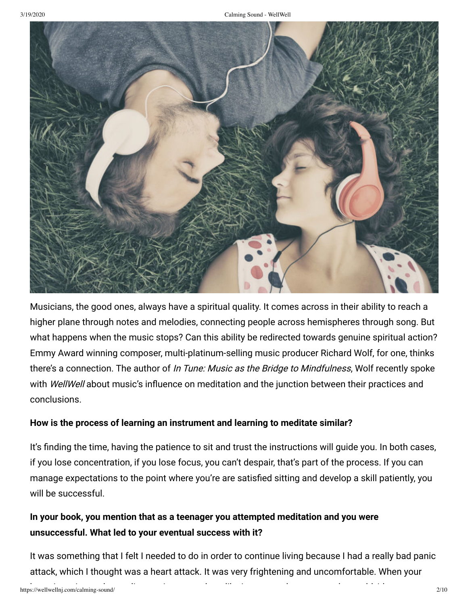

Musicians, the good ones, always have a spiritual quality. It comes across in their ability to reach a higher plane through notes and melodies, connecting people across hemispheres through song. But what happens when the music stops? Can this ability be redirected towards genuine spiritual action? Emmy Award winning composer, multi-platinum-selling music producer Richard Wolf, for one, thinks there's a connection. The author of In Tune: Music as the Bridge to Mindfulness, Wolf recently spoke with *WellWell* about music's influence on meditation and the junction between their practices and conclusions.

### **How is the process of learning an instrument and learning to meditate similar?**

It's finding the time, having the patience to sit and trust the instructions will guide you. In both cases, if you lose concentration, if you lose focus, you can't despair, that's part of the process. If you can manage expectations to the point where you're are satisfied sitting and develop a skill patiently, you will be successful.

# **In your book, you mention that as a teenager you attempted meditation and you were unsuccessful. What led to your eventual success with it?**

It was something that I felt I needed to do in order to continue living because I had a really bad panic attack, which I thought was a heart attack. It was very frightening and uncomfortable. When your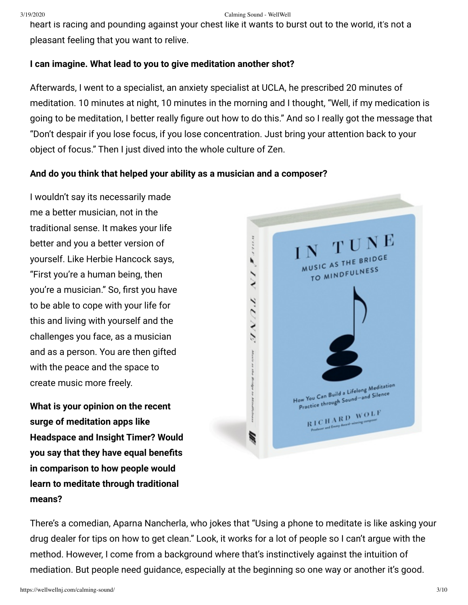heart is racing and pounding against your chest like it wants to burst out to the world, it's not a pleasant feeling that you want to relive.

## **I can imagine. What lead to you to give meditation another shot?**

Afterwards, I went to a specialist, an anxiety specialist at UCLA, he prescribed 20 minutes of meditation. 10 minutes at night, 10 minutes in the morning and I thought, "Well, if my medication is going to be meditation, I better really figure out how to do this." And so I really got the message that "Don't despair if you lose focus, if you lose concentration. Just bring your attention back to your object of focus." Then I just dived into the whole culture of Zen.

## **And do you think that helped your ability as a musician and a composer?**

I wouldn't say its necessarily made me a better musician, not in the traditional sense. It makes your life better and you a better version of yourself. Like Herbie Hancock says, "First you're a human being, then you're a musician." So, first you have to be able to cope with your life for this and living with yourself and the challenges you face, as a musician and as a person. You are then gifted with the peace and the space to create music more freely.

**What is your opinion on the recent surge of meditation apps like Headspace and Insight Timer? Would you say that they have equal benets in comparison to how people would learn to meditate through traditional means?**



There's a comedian, Aparna Nancherla, who jokes that "Using a phone to meditate is like asking your drug dealer for tips on how to get clean." Look, it works for a lot of people so I can't argue with the method. However, I come from a background where that's instinctively against the intuition of mediation. But people need guidance, especially at the beginning so one way or another it's good.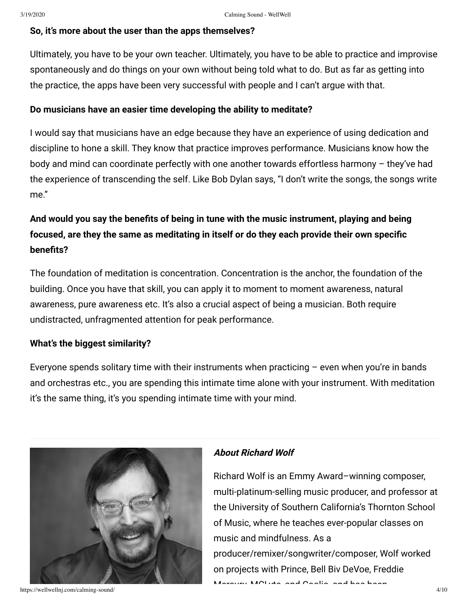## **So, it's more about the user than the apps themselves?**

Ultimately, you have to be your own teacher. Ultimately, you have to be able to practice and improvise spontaneously and do things on your own without being told what to do. But as far as getting into the practice, the apps have been very successful with people and I can't argue with that.

## **Do musicians have an easier time developing the ability to meditate?**

I would say that musicians have an edge because they have an experience of using dedication and discipline to hone a skill. They know that practice improves performance. Musicians know how the body and mind can coordinate perfectly with one another towards effortless harmony – they've had the experience of transcending the self. Like Bob Dylan says, "I don't write the songs, the songs write me."

# And would you say the benefits of being in tune with the music instrument, playing and being focused, are they the same as meditating in itself or do they each provide their own specific **benefits?**

The foundation of meditation is concentration. Concentration is the anchor, the foundation of the building. Once you have that skill, you can apply it to moment to moment awareness, natural awareness, pure awareness etc. It's also a crucial aspect of being a musician. Both require undistracted, unfragmented attention for peak performance.

## **What's the biggest similarity?**

Everyone spends solitary time with their instruments when practicing  $-$  even when you're in bands and orchestras etc., you are spending this intimate time alone with your instrument. With meditation it's the same thing, it's you spending intimate time with your mind.



#### https://wellwellnj.com/calming-sound/ 4/10

## **About Richard Wolf**

Richard Wolf is an Emmy Award–winning composer, multi-platinum-selling music producer, and professor at the University of Southern California's Thornton School of Music, where he teaches ever-popular classes on music and mindfulness. As a producer/remixer/songwriter/composer, Wolf worked on projects with Prince, Bell Biv DeVoe, Freddie

Mercury MCLINA and Coolio and has been